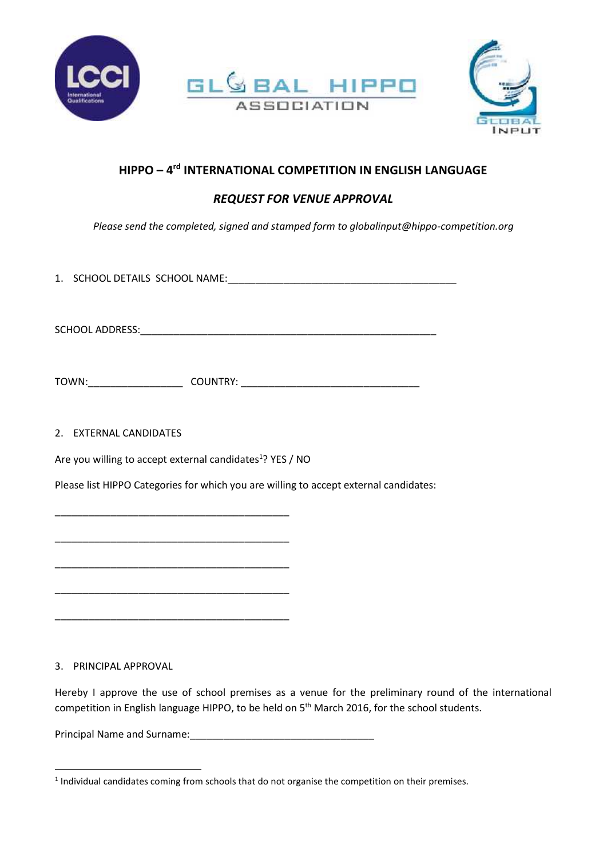





## **HIPPO – 4 rd INTERNATIONAL COMPETITION IN ENGLISH LANGUAGE**

## *REQUEST FOR VENUE APPROVAL*

*Please send the completed, signed and stamped form to globalinput@hippo-competition.org*

1. SCHOOL DETAILS SCHOOL NAME:\_\_\_\_\_\_\_\_\_\_\_\_\_\_\_\_\_\_\_\_\_\_\_\_\_\_\_\_\_\_\_\_\_\_\_\_\_\_\_\_\_

SCHOOL ADDRESS: **with a set of the set of the set of the set of the set of the set of the set of the set of the set of the set of the set of the set of the set of the set of the set of the set of the set of the set of the** 

TOWN:\_\_\_\_\_\_\_\_\_\_\_\_\_\_\_\_\_ COUNTRY: \_\_\_\_\_\_\_\_\_\_\_\_\_\_\_\_\_\_\_\_\_\_\_\_\_\_\_\_\_\_\_\_

## 2. EXTERNAL CANDIDATES

Are you willing to accept external candidates<sup>1</sup>? YES / NO

\_\_\_\_\_\_\_\_\_\_\_\_\_\_\_\_\_\_\_\_\_\_\_\_\_\_\_\_\_\_\_\_\_\_\_\_\_\_\_\_\_\_

\_\_\_\_\_\_\_\_\_\_\_\_\_\_\_\_\_\_\_\_\_\_\_\_\_\_\_\_\_\_\_\_\_\_\_\_\_\_\_\_\_\_

\_\_\_\_\_\_\_\_\_\_\_\_\_\_\_\_\_\_\_\_\_\_\_\_\_\_\_\_\_\_\_\_\_\_\_\_\_\_\_\_\_\_

\_\_\_\_\_\_\_\_\_\_\_\_\_\_\_\_\_\_\_\_\_\_\_\_\_\_\_\_\_\_\_\_\_\_\_\_\_\_\_\_\_\_

\_\_\_\_\_\_\_\_\_\_\_\_\_\_\_\_\_\_\_\_\_\_\_\_\_\_\_\_\_\_\_\_\_\_\_\_\_\_\_\_\_\_

Please list HIPPO Categories for which you are willing to accept external candidates:

3. PRINCIPAL APPROVAL

Hereby I approve the use of school premises as a venue for the preliminary round of the international competition in English language HIPPO, to be held on 5<sup>th</sup> March 2016, for the school students.

Principal Name and Surname:\_\_\_\_\_\_\_\_\_\_\_\_\_\_\_\_\_\_\_\_\_\_\_\_\_\_\_\_\_\_\_\_\_

 $<sup>1</sup>$  Individual candidates coming from schools that do not organise the competition on their premises.</sup>